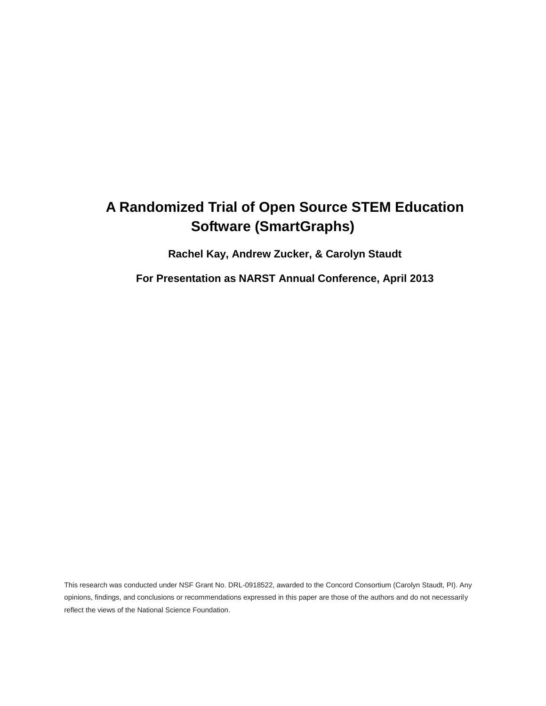# **A Randomized Trial of Open Source STEM Education Software (SmartGraphs)**

**Rachel Kay, Andrew Zucker, & Carolyn Staudt**

**For Presentation as NARST Annual Conference, April 2013**

This research was conducted under NSF Grant No. DRL-0918522, awarded to the Concord Consortium (Carolyn Staudt, PI). Any opinions, findings, and conclusions or recommendations expressed in this paper are those of the authors and do not necessarily reflect the views of the National Science Foundation.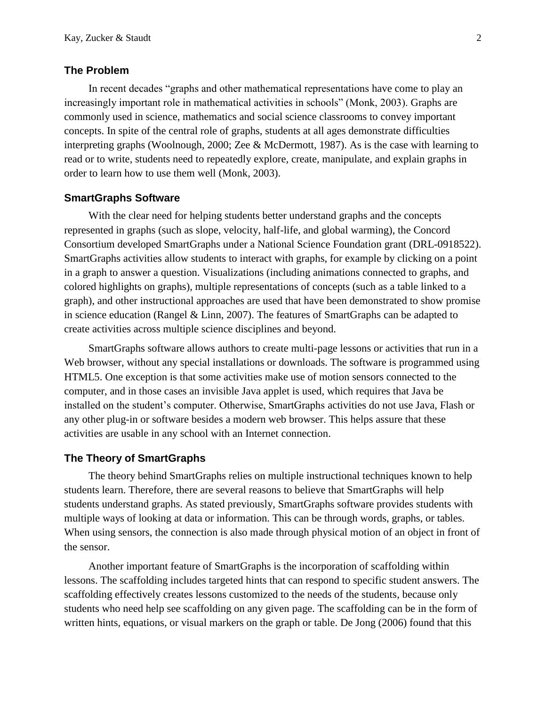# **The Problem**

In recent decades "graphs and other mathematical representations have come to play an increasingly important role in mathematical activities in schools" (Monk, 2003). Graphs are commonly used in science, mathematics and social science classrooms to convey important concepts. In spite of the central role of graphs, students at all ages demonstrate difficulties interpreting graphs (Woolnough, 2000; Zee & McDermott, 1987). As is the case with learning to read or to write, students need to repeatedly explore, create, manipulate, and explain graphs in order to learn how to use them well (Monk, 2003).

#### **SmartGraphs Software**

With the clear need for helping students better understand graphs and the concepts represented in graphs (such as slope, velocity, half-life, and global warming), the Concord Consortium developed SmartGraphs under a National Science Foundation grant (DRL-0918522). SmartGraphs activities allow students to interact with graphs, for example by clicking on a point in a graph to answer a question. Visualizations (including animations connected to graphs, and colored highlights on graphs), multiple representations of concepts (such as a table linked to a graph), and other instructional approaches are used that have been demonstrated to show promise in science education (Rangel & Linn, 2007). The features of SmartGraphs can be adapted to create activities across multiple science disciplines and beyond.

SmartGraphs software allows authors to create multi-page lessons or activities that run in a Web browser, without any special installations or downloads. The software is programmed using HTML5. One exception is that some activities make use of motion sensors connected to the computer, and in those cases an invisible Java applet is used, which requires that Java be installed on the student's computer. Otherwise, SmartGraphs activities do not use Java, Flash or any other plug-in or software besides a modern web browser. This helps assure that these activities are usable in any school with an Internet connection.

# **The Theory of SmartGraphs**

The theory behind SmartGraphs relies on multiple instructional techniques known to help students learn. Therefore, there are several reasons to believe that SmartGraphs will help students understand graphs. As stated previously, SmartGraphs software provides students with multiple ways of looking at data or information. This can be through words, graphs, or tables. When using sensors, the connection is also made through physical motion of an object in front of the sensor.

Another important feature of SmartGraphs is the incorporation of scaffolding within lessons. The scaffolding includes targeted hints that can respond to specific student answers. The scaffolding effectively creates lessons customized to the needs of the students, because only students who need help see scaffolding on any given page. The scaffolding can be in the form of written hints, equations, or visual markers on the graph or table. De Jong (2006) found that this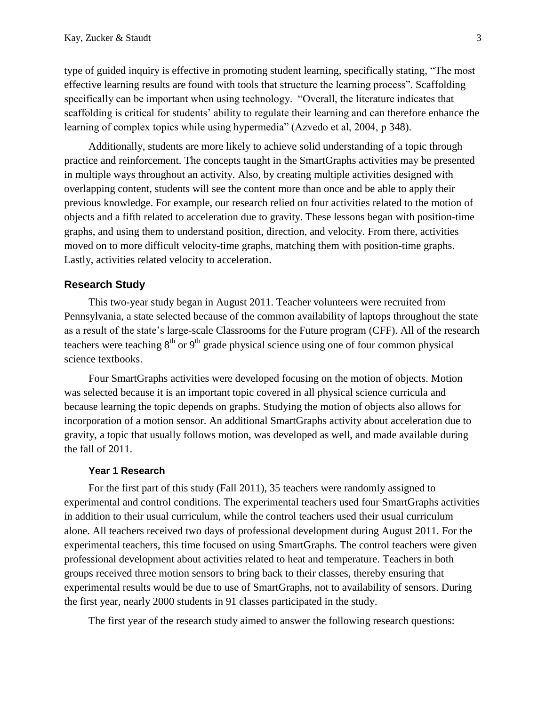type of guided inquiry is effective in promoting student learning, specifically stating, "The most effective learning results are found with tools that structure the learning process". Scaffolding specifically can be important when using technology. "Overall, the literature indicates that scaffolding is critical for students' ability to regulate their learning and can therefore enhance the learning of complex topics while using hypermedia" (Azvedo et al, 2004, p 348).

Additionally, students are more likely to achieve solid understanding of a topic through practice and reinforcement. The concepts taught in the SmartGraphs activities may be presented in multiple ways throughout an activity. Also, by creating multiple activities designed with overlapping content, students will see the content more than once and be able to apply their previous knowledge. For example, our research relied on four activities related to the motion of objects and a fifth related to acceleration due to gravity. These lessons began with position-time graphs, and using them to understand position, direction, and velocity. From there, activities moved on to more difficult velocity-time graphs, matching them with position-time graphs. Lastly, activities related velocity to acceleration.

#### **Research Study**

This two-year study began in August 2011. Teacher volunteers were recruited from Pennsylvania, a state selected because of the common availability of laptops throughout the state as a result of the state's large-scale Classrooms for the Future program (CFF). All of the research teachers were teaching  $8<sup>th</sup>$  or  $9<sup>th</sup>$  grade physical science using one of four common physical science textbooks.

Four SmartGraphs activities were developed focusing on the motion of objects. Motion was selected because it is an important topic covered in all physical science curricula and because learning the topic depends on graphs. Studying the motion of objects also allows for incorporation of a motion sensor. An additional SmartGraphs activity about acceleration due to gravity, a topic that usually follows motion, was developed as well, and made available during the fall of 2011.

#### **Year 1 Research**

For the first part of this study (Fall 2011), 35 teachers were randomly assigned to experimental and control conditions. The experimental teachers used four SmartGraphs activities in addition to their usual curriculum, while the control teachers used their usual curriculum alone. All teachers received two days of professional development during August 2011. For the experimental teachers, this time focused on using SmartGraphs. The control teachers were given professional development about activities related to heat and temperature. Teachers in both groups received three motion sensors to bring back to their classes, thereby ensuring that experimental results would be due to use of SmartGraphs, not to availability of sensors. During the first year, nearly 2000 students in 91 classes participated in the study.

The first year of the research study aimed to answer the following research questions: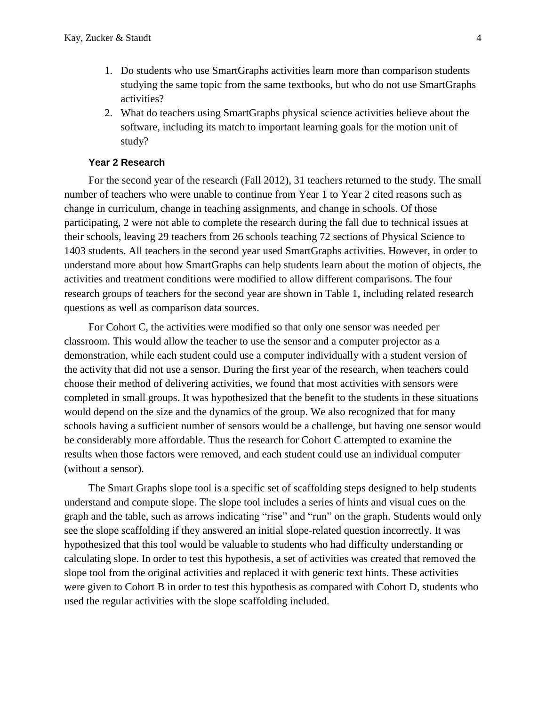- 1. Do students who use SmartGraphs activities learn more than comparison students studying the same topic from the same textbooks, but who do not use SmartGraphs activities?
- 2. What do teachers using SmartGraphs physical science activities believe about the software, including its match to important learning goals for the motion unit of study?

#### **Year 2 Research**

For the second year of the research (Fall 2012), 31 teachers returned to the study. The small number of teachers who were unable to continue from Year 1 to Year 2 cited reasons such as change in curriculum, change in teaching assignments, and change in schools. Of those participating, 2 were not able to complete the research during the fall due to technical issues at their schools, leaving 29 teachers from 26 schools teaching 72 sections of Physical Science to 1403 students. All teachers in the second year used SmartGraphs activities. However, in order to understand more about how SmartGraphs can help students learn about the motion of objects, the activities and treatment conditions were modified to allow different comparisons. The four research groups of teachers for the second year are shown in Table 1, including related research questions as well as comparison data sources.

For Cohort C, the activities were modified so that only one sensor was needed per classroom. This would allow the teacher to use the sensor and a computer projector as a demonstration, while each student could use a computer individually with a student version of the activity that did not use a sensor. During the first year of the research, when teachers could choose their method of delivering activities, we found that most activities with sensors were completed in small groups. It was hypothesized that the benefit to the students in these situations would depend on the size and the dynamics of the group. We also recognized that for many schools having a sufficient number of sensors would be a challenge, but having one sensor would be considerably more affordable. Thus the research for Cohort C attempted to examine the results when those factors were removed, and each student could use an individual computer (without a sensor).

The Smart Graphs slope tool is a specific set of scaffolding steps designed to help students understand and compute slope. The slope tool includes a series of hints and visual cues on the graph and the table, such as arrows indicating "rise" and "run" on the graph. Students would only see the slope scaffolding if they answered an initial slope-related question incorrectly. It was hypothesized that this tool would be valuable to students who had difficulty understanding or calculating slope. In order to test this hypothesis, a set of activities was created that removed the slope tool from the original activities and replaced it with generic text hints. These activities were given to Cohort B in order to test this hypothesis as compared with Cohort D, students who used the regular activities with the slope scaffolding included.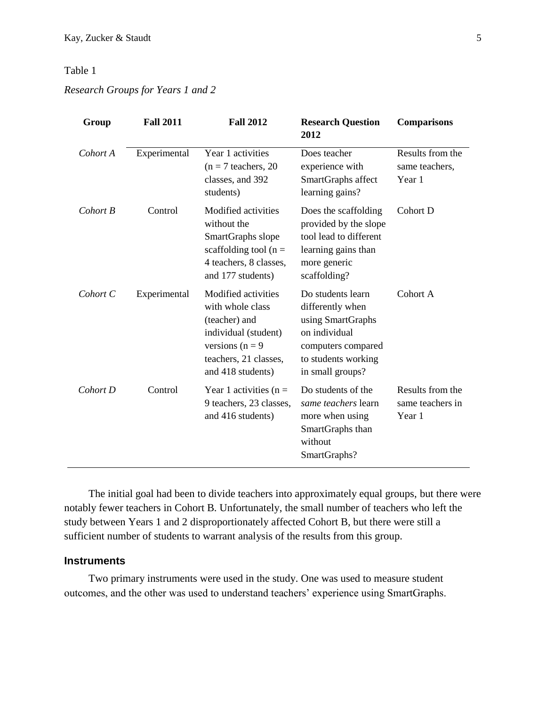# Table 1

# *Research Groups for Years 1 and 2*

| Group    | <b>Fall 2011</b> | <b>Fall 2012</b>                                                                                                                                     | <b>Research Question</b><br>2012                                                                                                             | <b>Comparisons</b>                             |
|----------|------------------|------------------------------------------------------------------------------------------------------------------------------------------------------|----------------------------------------------------------------------------------------------------------------------------------------------|------------------------------------------------|
| Cohort A | Experimental     | Year 1 activities<br>$(n = 7$ teachers, 20<br>classes, and 392<br>students)                                                                          | Does teacher<br>experience with<br>SmartGraphs affect<br>learning gains?                                                                     | Results from the<br>same teachers,<br>Year 1   |
| Cohort B | Control          | Modified activities<br>without the<br>SmartGraphs slope<br>scaffolding tool ( $n =$<br>4 teachers, 8 classes,<br>and 177 students)                   | Does the scaffolding<br>provided by the slope<br>tool lead to different<br>learning gains than<br>more generic<br>scaffolding?               | Cohort D                                       |
| Cohort C | Experimental     | Modified activities<br>with whole class<br>(teacher) and<br>individual (student)<br>versions ( $n = 9$<br>teachers, 21 classes,<br>and 418 students) | Do students learn<br>differently when<br>using SmartGraphs<br>on individual<br>computers compared<br>to students working<br>in small groups? | Cohort A                                       |
| Cohort D | Control          | Year 1 activities ( $n =$<br>9 teachers, 23 classes,<br>and 416 students)                                                                            | Do students of the<br>same teachers learn<br>more when using<br>SmartGraphs than<br>without<br>SmartGraphs?                                  | Results from the<br>same teachers in<br>Year 1 |

The initial goal had been to divide teachers into approximately equal groups, but there were notably fewer teachers in Cohort B. Unfortunately, the small number of teachers who left the study between Years 1 and 2 disproportionately affected Cohort B, but there were still a sufficient number of students to warrant analysis of the results from this group.

# **Instruments**

Two primary instruments were used in the study. One was used to measure student outcomes, and the other was used to understand teachers' experience using SmartGraphs.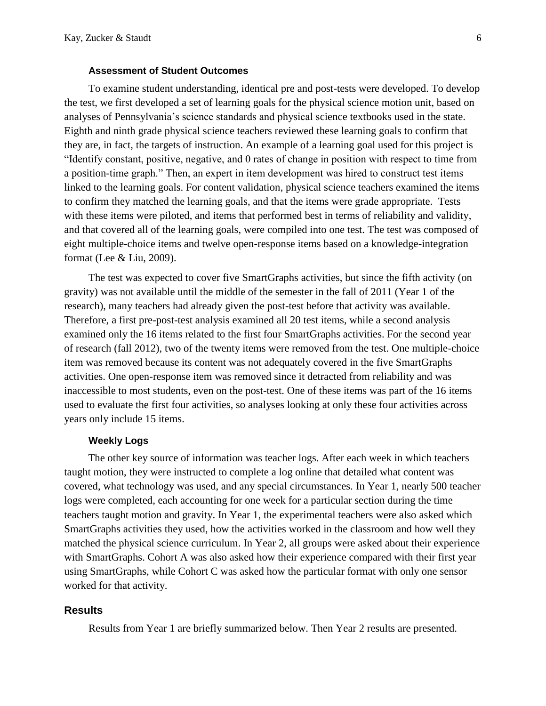#### **Assessment of Student Outcomes**

To examine student understanding, identical pre and post-tests were developed. To develop the test, we first developed a set of learning goals for the physical science motion unit, based on analyses of Pennsylvania's science standards and physical science textbooks used in the state. Eighth and ninth grade physical science teachers reviewed these learning goals to confirm that they are, in fact, the targets of instruction. An example of a learning goal used for this project is "Identify constant, positive, negative, and 0 rates of change in position with respect to time from a position-time graph." Then, an expert in item development was hired to construct test items linked to the learning goals. For content validation, physical science teachers examined the items to confirm they matched the learning goals, and that the items were grade appropriate. Tests with these items were piloted, and items that performed best in terms of reliability and validity, and that covered all of the learning goals, were compiled into one test. The test was composed of eight multiple-choice items and twelve open-response items based on a knowledge-integration format (Lee & Liu, 2009).

The test was expected to cover five SmartGraphs activities, but since the fifth activity (on gravity) was not available until the middle of the semester in the fall of 2011 (Year 1 of the research), many teachers had already given the post-test before that activity was available. Therefore, a first pre-post-test analysis examined all 20 test items, while a second analysis examined only the 16 items related to the first four SmartGraphs activities. For the second year of research (fall 2012), two of the twenty items were removed from the test. One multiple-choice item was removed because its content was not adequately covered in the five SmartGraphs activities. One open-response item was removed since it detracted from reliability and was inaccessible to most students, even on the post-test. One of these items was part of the 16 items used to evaluate the first four activities, so analyses looking at only these four activities across years only include 15 items.

## **Weekly Logs**

The other key source of information was teacher logs. After each week in which teachers taught motion, they were instructed to complete a log online that detailed what content was covered, what technology was used, and any special circumstances. In Year 1, nearly 500 teacher logs were completed, each accounting for one week for a particular section during the time teachers taught motion and gravity. In Year 1, the experimental teachers were also asked which SmartGraphs activities they used, how the activities worked in the classroom and how well they matched the physical science curriculum. In Year 2, all groups were asked about their experience with SmartGraphs. Cohort A was also asked how their experience compared with their first year using SmartGraphs, while Cohort C was asked how the particular format with only one sensor worked for that activity.

#### **Results**

Results from Year 1 are briefly summarized below. Then Year 2 results are presented.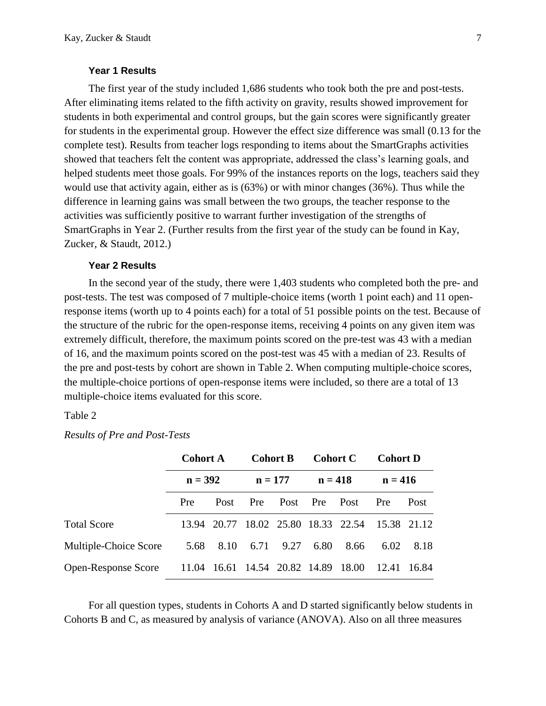#### **Year 1 Results**

The first year of the study included 1,686 students who took both the pre and post-tests. After eliminating items related to the fifth activity on gravity, results showed improvement for students in both experimental and control groups, but the gain scores were significantly greater for students in the experimental group. However the effect size difference was small (0.13 for the complete test). Results from teacher logs responding to items about the SmartGraphs activities showed that teachers felt the content was appropriate, addressed the class's learning goals, and helped students meet those goals. For 99% of the instances reports on the logs, teachers said they would use that activity again, either as is (63%) or with minor changes (36%). Thus while the difference in learning gains was small between the two groups, the teacher response to the activities was sufficiently positive to warrant further investigation of the strengths of SmartGraphs in Year 2. (Further results from the first year of the study can be found in Kay, Zucker, & Staudt, 2012.)

#### **Year 2 Results**

In the second year of the study, there were 1,403 students who completed both the pre- and post-tests. The test was composed of 7 multiple-choice items (worth 1 point each) and 11 openresponse items (worth up to 4 points each) for a total of 51 possible points on the test. Because of the structure of the rubric for the open-response items, receiving 4 points on any given item was extremely difficult, therefore, the maximum points scored on the pre-test was 43 with a median of 16, and the maximum points scored on the post-test was 45 with a median of 23. Results of the pre and post-tests by cohort are shown in Table 2. When computing multiple-choice scores, the multiple-choice portions of open-response items were included, so there are a total of 13 multiple-choice items evaluated for this score.

#### Table 2

#### *Results of Pre and Post-Tests*

|                                                         | <b>Cohort A</b><br>$n = 392$ |      |                                     | <b>Cohort B</b><br><b>Cohort C</b> |      |           | <b>Cohort D</b> |           |
|---------------------------------------------------------|------------------------------|------|-------------------------------------|------------------------------------|------|-----------|-----------------|-----------|
|                                                         |                              |      | $n = 177$                           |                                    |      | $n = 418$ |                 | $n = 416$ |
|                                                         | Pre                          | Post | <b>Pre</b>                          | Post Pre Post                      |      |           | Pre             | Post      |
| <b>Total Score</b>                                      |                              |      | 13.94 20.77 18.02 25.80 18.33 22.54 |                                    |      |           | 15.38 21.12     |           |
| Multiple-Choice Score                                   | 5.68                         |      | 8.10 6.71 9.27                      |                                    | 6.80 | 8.66      | 6.02            | 8.18      |
| Open-Response Score 11.04 16.61 14.54 20.82 14.89 18.00 |                              |      |                                     |                                    |      |           | 12.41 16.84     |           |

For all question types, students in Cohorts A and D started significantly below students in Cohorts B and C, as measured by analysis of variance (ANOVA). Also on all three measures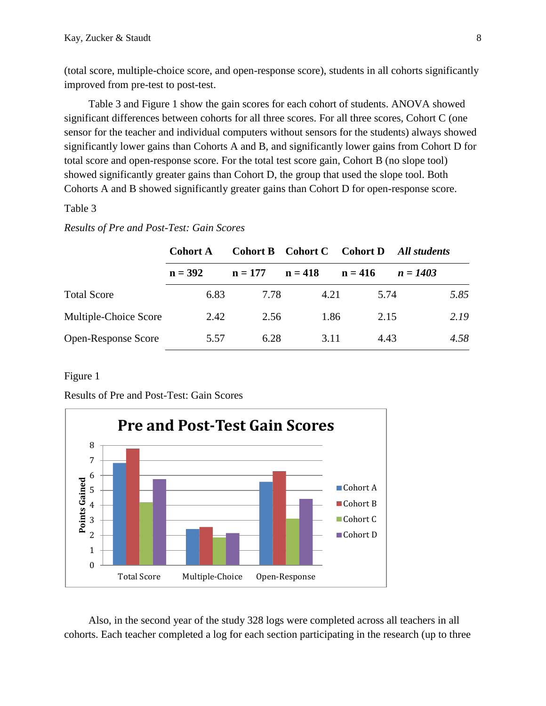(total score, multiple-choice score, and open-response score), students in all cohorts significantly improved from pre-test to post-test.

Table 3 and Figure 1 show the gain scores for each cohort of students. ANOVA showed significant differences between cohorts for all three scores. For all three scores, Cohort C (one sensor for the teacher and individual computers without sensors for the students) always showed significantly lower gains than Cohorts A and B, and significantly lower gains from Cohort D for total score and open-response score. For the total test score gain, Cohort B (no slope tool) showed significantly greater gains than Cohort D, the group that used the slope tool. Both Cohorts A and B showed significantly greater gains than Cohort D for open-response score.

## Table 3

## *Results of Pre and Post-Test: Gain Scores*

|                            | <b>Cohort A</b> | Cohort B Cohort C |           | <b>Cohort D</b> | All students |
|----------------------------|-----------------|-------------------|-----------|-----------------|--------------|
|                            | $n = 392$       | $n = 177$         | $n = 418$ | $n = 416$       | $n = 1403$   |
| <b>Total Score</b>         | 6.83            | 7.78              | 4.21      | 5.74            | 5.85         |
| Multiple-Choice Score      | 2.42            | 2.56              | 1.86      | 2.15            | 2.19         |
| <b>Open-Response Score</b> | 5.57            | 6.28              | 3.11      | 4.43            | 4.58         |

#### Figure 1

Results of Pre and Post-Test: Gain Scores



Also, in the second year of the study 328 logs were completed across all teachers in all cohorts. Each teacher completed a log for each section participating in the research (up to three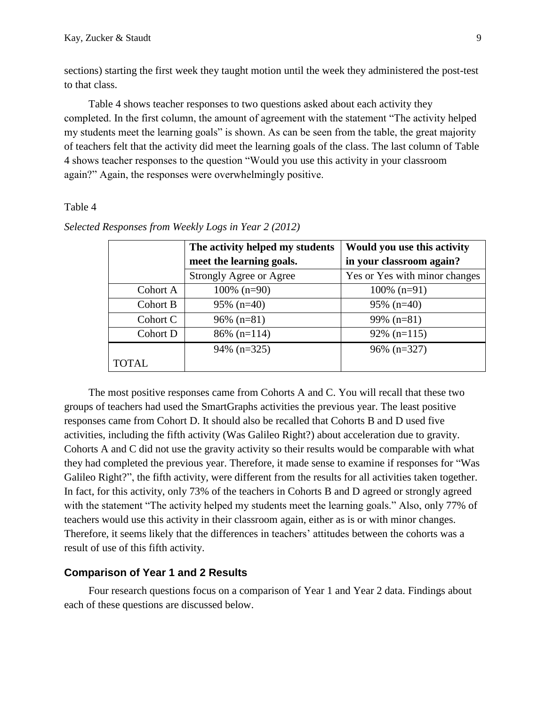sections) starting the first week they taught motion until the week they administered the post-test to that class.

Table 4 shows teacher responses to two questions asked about each activity they completed. In the first column, the amount of agreement with the statement "The activity helped my students meet the learning goals" is shown. As can be seen from the table, the great majority of teachers felt that the activity did meet the learning goals of the class. The last column of Table 4 shows teacher responses to the question "Would you use this activity in your classroom again?" Again, the responses were overwhelmingly positive.

#### Table 4

|              | The activity helped my students | Would you use this activity   |
|--------------|---------------------------------|-------------------------------|
|              | meet the learning goals.        | in your classroom again?      |
|              | Strongly Agree or Agree         | Yes or Yes with minor changes |
| Cohort A     | $100\%$ (n=90)                  | $100\%$ (n=91)                |
| Cohort B     | $95\%$ (n=40)                   | $95\%$ (n=40)                 |
| Cohort C     | $96\%$ (n=81)                   | $99\%$ (n=81)                 |
| Cohort D     | $86\%$ (n=114)                  | $92\%$ (n=115)                |
|              | $94\%$ (n=325)                  | $96\%$ (n=327)                |
| <b>TOTAL</b> |                                 |                               |

*Selected Responses from Weekly Logs in Year 2 (2012)*

The most positive responses came from Cohorts A and C. You will recall that these two groups of teachers had used the SmartGraphs activities the previous year. The least positive responses came from Cohort D. It should also be recalled that Cohorts B and D used five activities, including the fifth activity (Was Galileo Right?) about acceleration due to gravity. Cohorts A and C did not use the gravity activity so their results would be comparable with what they had completed the previous year. Therefore, it made sense to examine if responses for "Was Galileo Right?", the fifth activity, were different from the results for all activities taken together. In fact, for this activity, only 73% of the teachers in Cohorts B and D agreed or strongly agreed with the statement "The activity helped my students meet the learning goals." Also, only 77% of teachers would use this activity in their classroom again, either as is or with minor changes. Therefore, it seems likely that the differences in teachers' attitudes between the cohorts was a result of use of this fifth activity.

#### **Comparison of Year 1 and 2 Results**

Four research questions focus on a comparison of Year 1 and Year 2 data. Findings about each of these questions are discussed below.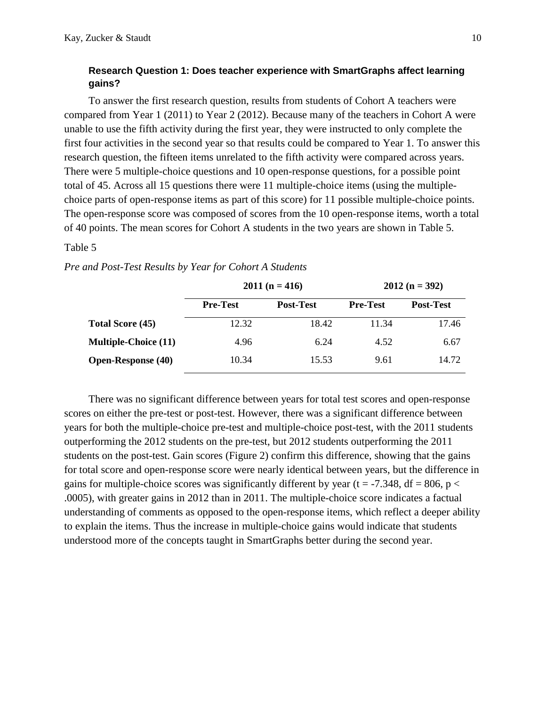# **Research Question 1: Does teacher experience with SmartGraphs affect learning gains?**

To answer the first research question, results from students of Cohort A teachers were compared from Year 1 (2011) to Year 2 (2012). Because many of the teachers in Cohort A were unable to use the fifth activity during the first year, they were instructed to only complete the first four activities in the second year so that results could be compared to Year 1. To answer this research question, the fifteen items unrelated to the fifth activity were compared across years. There were 5 multiple-choice questions and 10 open-response questions, for a possible point total of 45. Across all 15 questions there were 11 multiple-choice items (using the multiplechoice parts of open-response items as part of this score) for 11 possible multiple-choice points. The open-response score was composed of scores from the 10 open-response items, worth a total of 40 points. The mean scores for Cohort A students in the two years are shown in Table 5.

#### Table 5

|                             |                 | $2011(n = 416)$  | $2012 (n = 392)$ |                  |  |
|-----------------------------|-----------------|------------------|------------------|------------------|--|
|                             | <b>Pre-Test</b> | <b>Post-Test</b> | <b>Pre-Test</b>  | <b>Post-Test</b> |  |
| Total Score (45)            | 12.32           | 18.42            | 11.34            | 17.46            |  |
| <b>Multiple-Choice (11)</b> | 4.96            | 6.24             | 4.52             | 6.67             |  |
| <b>Open-Response</b> (40)   | 10.34           | 15.53            | 9.61             | 14.72            |  |

*Pre and Post-Test Results by Year for Cohort A Students*

There was no significant difference between years for total test scores and open-response scores on either the pre-test or post-test. However, there was a significant difference between years for both the multiple-choice pre-test and multiple-choice post-test, with the 2011 students outperforming the 2012 students on the pre-test, but 2012 students outperforming the 2011 students on the post-test. Gain scores (Figure 2) confirm this difference, showing that the gains for total score and open-response score were nearly identical between years, but the difference in gains for multiple-choice scores was significantly different by year ( $t = -7.348$ , df = 806, p < .0005), with greater gains in 2012 than in 2011. The multiple-choice score indicates a factual understanding of comments as opposed to the open-response items, which reflect a deeper ability to explain the items. Thus the increase in multiple-choice gains would indicate that students understood more of the concepts taught in SmartGraphs better during the second year.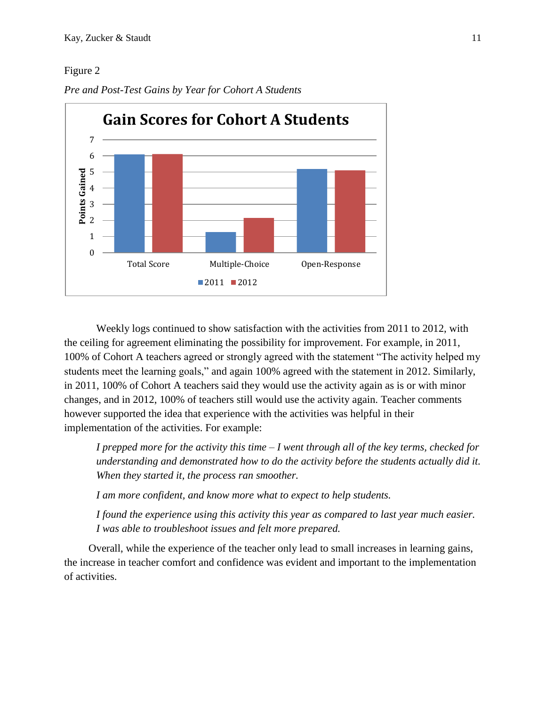# Figure 2



*Pre and Post-Test Gains by Year for Cohort A Students*

Weekly logs continued to show satisfaction with the activities from 2011 to 2012, with the ceiling for agreement eliminating the possibility for improvement. For example, in 2011, 100% of Cohort A teachers agreed or strongly agreed with the statement "The activity helped my students meet the learning goals," and again 100% agreed with the statement in 2012. Similarly, in 2011, 100% of Cohort A teachers said they would use the activity again as is or with minor changes, and in 2012, 100% of teachers still would use the activity again. Teacher comments however supported the idea that experience with the activities was helpful in their implementation of the activities. For example:

*I prepped more for the activity this time – I went through all of the key terms, checked for understanding and demonstrated how to do the activity before the students actually did it. When they started it, the process ran smoother.*

*I am more confident, and know more what to expect to help students.*

*I found the experience using this activity this year as compared to last year much easier. I was able to troubleshoot issues and felt more prepared.*

Overall, while the experience of the teacher only lead to small increases in learning gains, the increase in teacher comfort and confidence was evident and important to the implementation of activities.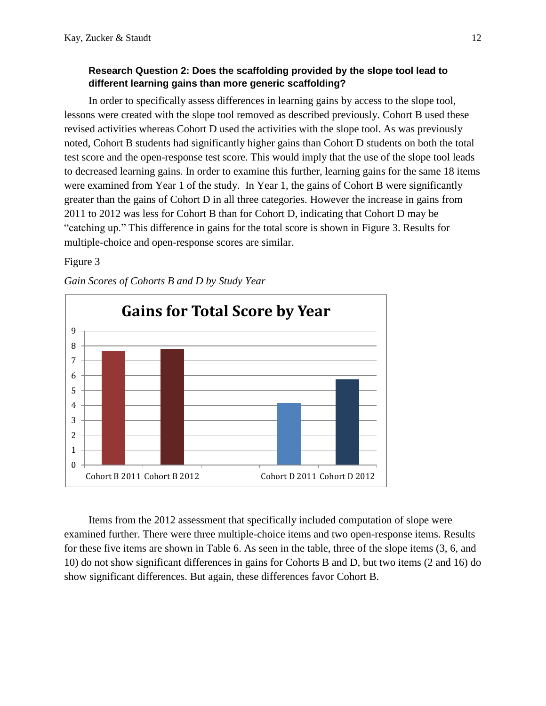# **Research Question 2: Does the scaffolding provided by the slope tool lead to different learning gains than more generic scaffolding?**

In order to specifically assess differences in learning gains by access to the slope tool, lessons were created with the slope tool removed as described previously. Cohort B used these revised activities whereas Cohort D used the activities with the slope tool. As was previously noted, Cohort B students had significantly higher gains than Cohort D students on both the total test score and the open-response test score. This would imply that the use of the slope tool leads to decreased learning gains. In order to examine this further, learning gains for the same 18 items were examined from Year 1 of the study. In Year 1, the gains of Cohort B were significantly greater than the gains of Cohort D in all three categories. However the increase in gains from 2011 to 2012 was less for Cohort B than for Cohort D, indicating that Cohort D may be "catching up." This difference in gains for the total score is shown in Figure 3. Results for multiple-choice and open-response scores are similar.

# Figure 3



*Gain Scores of Cohorts B and D by Study Year*

Items from the 2012 assessment that specifically included computation of slope were examined further. There were three multiple-choice items and two open-response items. Results for these five items are shown in Table 6. As seen in the table, three of the slope items (3, 6, and 10) do not show significant differences in gains for Cohorts B and D, but two items (2 and 16) do show significant differences. But again, these differences favor Cohort B.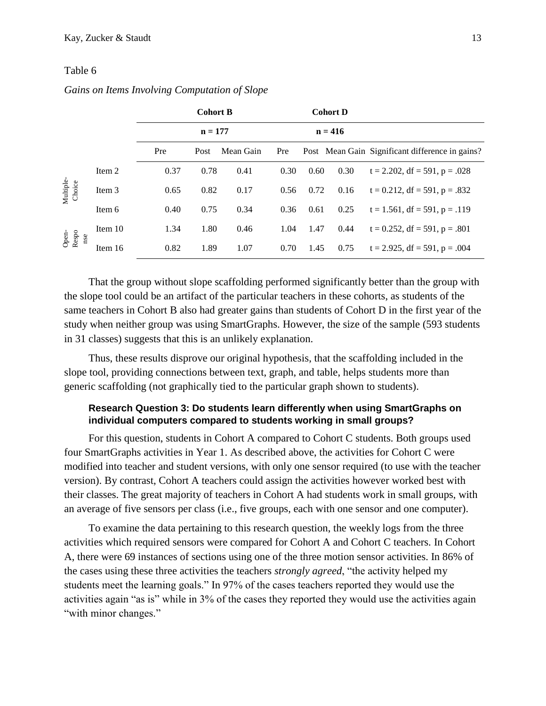#### Table 6

|                       |         | <b>Cohort B</b> |      | <b>Cohort D</b> |           |      |      |                                                 |
|-----------------------|---------|-----------------|------|-----------------|-----------|------|------|-------------------------------------------------|
|                       |         | $n = 177$       |      |                 | $n = 416$ |      |      |                                                 |
|                       |         | Pre             | Post | Mean Gain       | Pre       |      |      | Post Mean Gain Significant difference in gains? |
| Multiple-<br>Choice   | Item 2  | 0.37            | 0.78 | 0.41            | 0.30      | 0.60 | 0.30 | $t = 2.202$ , df = 591, p = .028                |
|                       | Item 3  | 0.65            | 0.82 | 0.17            | 0.56      | 0.72 | 0.16 | $t = 0.212$ , df = 591, p = .832                |
|                       | Item 6  | 0.40            | 0.75 | 0.34            | 0.36      | 0.61 | 0.25 | $t = 1.561$ , df = 591, p = .119                |
| Open-<br>Respo<br>nse | Item 10 | 1.34            | 1.80 | 0.46            | 1.04      | 1.47 | 0.44 | $t = 0.252$ , df = 591, p = .801                |
|                       | Item 16 | 0.82            | 1.89 | 1.07            | 0.70      | 1.45 | 0.75 | $t = 2.925$ , df = 591, p = .004                |

#### *Gains on Items Involving Computation of Slope*

That the group without slope scaffolding performed significantly better than the group with the slope tool could be an artifact of the particular teachers in these cohorts, as students of the same teachers in Cohort B also had greater gains than students of Cohort D in the first year of the study when neither group was using SmartGraphs. However, the size of the sample (593 students in 31 classes) suggests that this is an unlikely explanation.

Thus, these results disprove our original hypothesis, that the scaffolding included in the slope tool, providing connections between text, graph, and table, helps students more than generic scaffolding (not graphically tied to the particular graph shown to students).

# **Research Question 3: Do students learn differently when using SmartGraphs on individual computers compared to students working in small groups?**

For this question, students in Cohort A compared to Cohort C students. Both groups used four SmartGraphs activities in Year 1. As described above, the activities for Cohort C were modified into teacher and student versions, with only one sensor required (to use with the teacher version). By contrast, Cohort A teachers could assign the activities however worked best with their classes. The great majority of teachers in Cohort A had students work in small groups, with an average of five sensors per class (i.e., five groups, each with one sensor and one computer).

To examine the data pertaining to this research question, the weekly logs from the three activities which required sensors were compared for Cohort A and Cohort C teachers. In Cohort A, there were 69 instances of sections using one of the three motion sensor activities. In 86% of the cases using these three activities the teachers *strongly agreed*, "the activity helped my students meet the learning goals." In 97% of the cases teachers reported they would use the activities again "as is" while in 3% of the cases they reported they would use the activities again "with minor changes."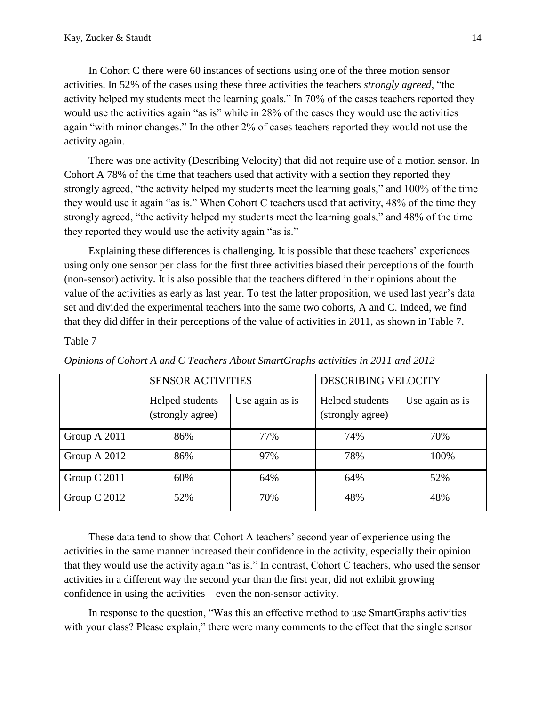In Cohort C there were 60 instances of sections using one of the three motion sensor activities. In 52% of the cases using these three activities the teachers *strongly agreed*, "the activity helped my students meet the learning goals." In 70% of the cases teachers reported they would use the activities again "as is" while in 28% of the cases they would use the activities again "with minor changes." In the other 2% of cases teachers reported they would not use the activity again.

There was one activity (Describing Velocity) that did not require use of a motion sensor. In Cohort A 78% of the time that teachers used that activity with a section they reported they strongly agreed, "the activity helped my students meet the learning goals," and 100% of the time they would use it again "as is." When Cohort C teachers used that activity, 48% of the time they strongly agreed, "the activity helped my students meet the learning goals," and 48% of the time they reported they would use the activity again "as is."

Explaining these differences is challenging. It is possible that these teachers' experiences using only one sensor per class for the first three activities biased their perceptions of the fourth (non-sensor) activity. It is also possible that the teachers differed in their opinions about the value of the activities as early as last year. To test the latter proposition, we used last year's data set and divided the experimental teachers into the same two cohorts, A and C. Indeed, we find that they did differ in their perceptions of the value of activities in 2011, as shown in Table 7.

#### Table 7

|              | <b>SENSOR ACTIVITIES</b>            |                 | <b>DESCRIBING VELOCITY</b>          |                 |  |  |
|--------------|-------------------------------------|-----------------|-------------------------------------|-----------------|--|--|
|              | Helped students<br>(strongly agree) | Use again as is | Helped students<br>(strongly agree) | Use again as is |  |  |
| Group A 2011 | 86%                                 | 77%             | 74%                                 | 70%             |  |  |
| Group A 2012 | 86%                                 | 97%             | 78%                                 | 100%            |  |  |
| Group C 2011 | 60%                                 | 64%             | 64%                                 | 52%             |  |  |
| Group C 2012 | 52%                                 | 70%             | 48%                                 | 48%             |  |  |

*Opinions of Cohort A and C Teachers About SmartGraphs activities in 2011 and 2012*

These data tend to show that Cohort A teachers' second year of experience using the activities in the same manner increased their confidence in the activity, especially their opinion that they would use the activity again "as is." In contrast, Cohort C teachers, who used the sensor activities in a different way the second year than the first year, did not exhibit growing confidence in using the activities—even the non-sensor activity.

In response to the question, "Was this an effective method to use SmartGraphs activities with your class? Please explain," there were many comments to the effect that the single sensor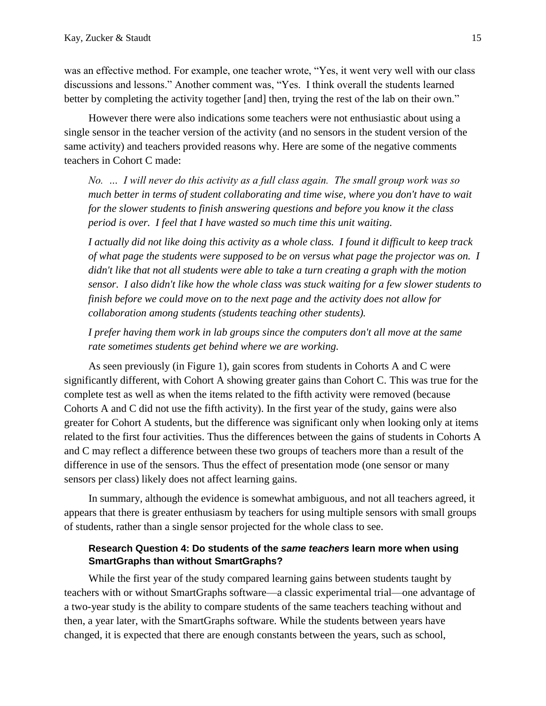was an effective method. For example, one teacher wrote, "Yes, it went very well with our class discussions and lessons." Another comment was, "Yes. I think overall the students learned better by completing the activity together [and] then, trying the rest of the lab on their own."

However there were also indications some teachers were not enthusiastic about using a single sensor in the teacher version of the activity (and no sensors in the student version of the same activity) and teachers provided reasons why. Here are some of the negative comments teachers in Cohort C made:

*No. … I will never do this activity as a full class again. The small group work was so much better in terms of student collaborating and time wise, where you don't have to wait for the slower students to finish answering questions and before you know it the class period is over. I feel that I have wasted so much time this unit waiting.*

*I actually did not like doing this activity as a whole class. I found it difficult to keep track of what page the students were supposed to be on versus what page the projector was on. I didn't like that not all students were able to take a turn creating a graph with the motion sensor. I also didn't like how the whole class was stuck waiting for a few slower students to finish before we could move on to the next page and the activity does not allow for collaboration among students (students teaching other students).*

*I prefer having them work in lab groups since the computers don't all move at the same rate sometimes students get behind where we are working.*

As seen previously (in Figure 1), gain scores from students in Cohorts A and C were significantly different, with Cohort A showing greater gains than Cohort C. This was true for the complete test as well as when the items related to the fifth activity were removed (because Cohorts A and C did not use the fifth activity). In the first year of the study, gains were also greater for Cohort A students, but the difference was significant only when looking only at items related to the first four activities. Thus the differences between the gains of students in Cohorts A and C may reflect a difference between these two groups of teachers more than a result of the difference in use of the sensors. Thus the effect of presentation mode (one sensor or many sensors per class) likely does not affect learning gains.

In summary, although the evidence is somewhat ambiguous, and not all teachers agreed, it appears that there is greater enthusiasm by teachers for using multiple sensors with small groups of students, rather than a single sensor projected for the whole class to see.

# **Research Question 4: Do students of the** *same teachers* **learn more when using SmartGraphs than without SmartGraphs?**

While the first year of the study compared learning gains between students taught by teachers with or without SmartGraphs software—a classic experimental trial—one advantage of a two-year study is the ability to compare students of the same teachers teaching without and then, a year later, with the SmartGraphs software. While the students between years have changed, it is expected that there are enough constants between the years, such as school,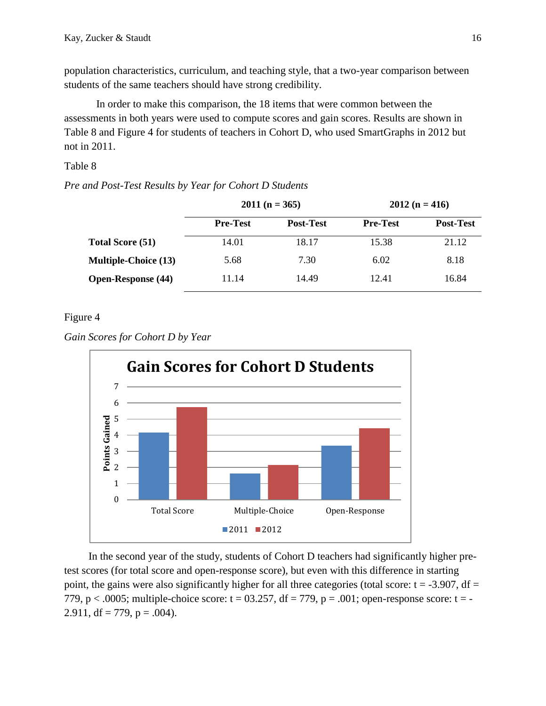population characteristics, curriculum, and teaching style, that a two-year comparison between students of the same teachers should have strong credibility.

In order to make this comparison, the 18 items that were common between the assessments in both years were used to compute scores and gain scores. Results are shown in Table 8 and Figure 4 for students of teachers in Cohort D, who used SmartGraphs in 2012 but not in 2011.

# Table 8

# *Pre and Post-Test Results by Year for Cohort D Students*

|                             |                 | $2011(n = 365)$  | $2012(n = 416)$ |                  |  |
|-----------------------------|-----------------|------------------|-----------------|------------------|--|
|                             | <b>Pre-Test</b> | <b>Post-Test</b> | <b>Pre-Test</b> | <b>Post-Test</b> |  |
| <b>Total Score (51)</b>     | 14.01           | 18.17            | 15.38           | 21.12            |  |
| <b>Multiple-Choice (13)</b> | 5.68            | 7.30             | 6.02            | 8.18             |  |
| <b>Open-Response (44)</b>   | 11.14           | 14.49            | 12.41           | 16.84            |  |

# Figure 4





In the second year of the study, students of Cohort D teachers had significantly higher pretest scores (for total score and open-response score), but even with this difference in starting point, the gains were also significantly higher for all three categories (total score:  $t = -3.907$ , df = 779, p  $\lt$  .0005; multiple-choice score: t = 03.257, df = 779, p = .001; open-response score: t = -2.911, df = 779,  $p = .004$ ).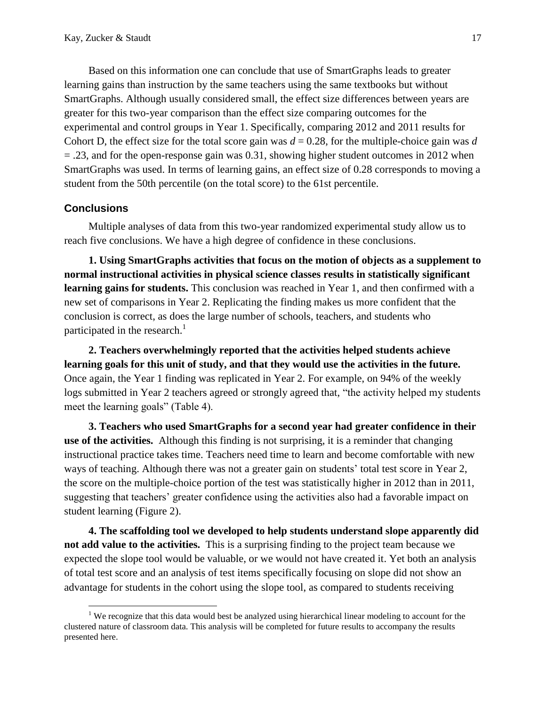Based on this information one can conclude that use of SmartGraphs leads to greater learning gains than instruction by the same teachers using the same textbooks but without SmartGraphs. Although usually considered small, the effect size differences between years are greater for this two-year comparison than the effect size comparing outcomes for the experimental and control groups in Year 1. Specifically, comparing 2012 and 2011 results for Cohort D, the effect size for the total score gain was  $d = 0.28$ , for the multiple-choice gain was  $d$  $=$  .23, and for the open-response gain was 0.31, showing higher student outcomes in 2012 when SmartGraphs was used. In terms of learning gains, an effect size of 0.28 corresponds to moving a student from the 50th percentile (on the total score) to the 61st percentile.

# **Conclusions**

 $\overline{a}$ 

Multiple analyses of data from this two-year randomized experimental study allow us to reach five conclusions. We have a high degree of confidence in these conclusions.

**1. Using SmartGraphs activities that focus on the motion of objects as a supplement to normal instructional activities in physical science classes results in statistically significant learning gains for students.** This conclusion was reached in Year 1, and then confirmed with a new set of comparisons in Year 2. Replicating the finding makes us more confident that the conclusion is correct, as does the large number of schools, teachers, and students who participated in the research. $<sup>1</sup>$ </sup>

**2. Teachers overwhelmingly reported that the activities helped students achieve learning goals for this unit of study, and that they would use the activities in the future.** Once again, the Year 1 finding was replicated in Year 2. For example, on 94% of the weekly logs submitted in Year 2 teachers agreed or strongly agreed that, "the activity helped my students meet the learning goals" (Table 4).

**3. Teachers who used SmartGraphs for a second year had greater confidence in their use of the activities.** Although this finding is not surprising, it is a reminder that changing instructional practice takes time. Teachers need time to learn and become comfortable with new ways of teaching. Although there was not a greater gain on students' total test score in Year 2, the score on the multiple-choice portion of the test was statistically higher in 2012 than in 2011, suggesting that teachers' greater confidence using the activities also had a favorable impact on student learning (Figure 2).

**4. The scaffolding tool we developed to help students understand slope apparently did not add value to the activities.** This is a surprising finding to the project team because we expected the slope tool would be valuable, or we would not have created it. Yet both an analysis of total test score and an analysis of test items specifically focusing on slope did not show an advantage for students in the cohort using the slope tool, as compared to students receiving

<sup>&</sup>lt;sup>1</sup> We recognize that this data would best be analyzed using hierarchical linear modeling to account for the clustered nature of classroom data. This analysis will be completed for future results to accompany the results presented here.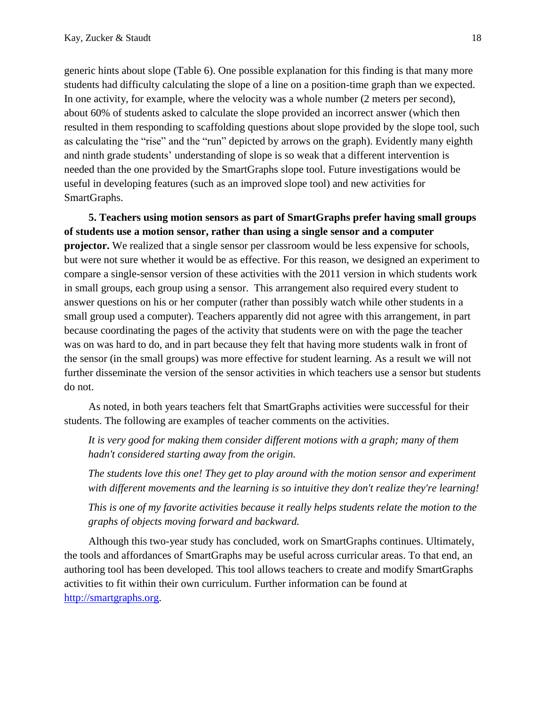generic hints about slope (Table 6). One possible explanation for this finding is that many more students had difficulty calculating the slope of a line on a position-time graph than we expected. In one activity, for example, where the velocity was a whole number (2 meters per second), about 60% of students asked to calculate the slope provided an incorrect answer (which then resulted in them responding to scaffolding questions about slope provided by the slope tool, such as calculating the "rise" and the "run" depicted by arrows on the graph). Evidently many eighth and ninth grade students' understanding of slope is so weak that a different intervention is needed than the one provided by the SmartGraphs slope tool. Future investigations would be useful in developing features (such as an improved slope tool) and new activities for SmartGraphs.

**5. Teachers using motion sensors as part of SmartGraphs prefer having small groups of students use a motion sensor, rather than using a single sensor and a computer projector.** We realized that a single sensor per classroom would be less expensive for schools, but were not sure whether it would be as effective. For this reason, we designed an experiment to compare a single-sensor version of these activities with the 2011 version in which students work in small groups, each group using a sensor. This arrangement also required every student to answer questions on his or her computer (rather than possibly watch while other students in a small group used a computer). Teachers apparently did not agree with this arrangement, in part because coordinating the pages of the activity that students were on with the page the teacher was on was hard to do, and in part because they felt that having more students walk in front of the sensor (in the small groups) was more effective for student learning. As a result we will not further disseminate the version of the sensor activities in which teachers use a sensor but students do not.

As noted, in both years teachers felt that SmartGraphs activities were successful for their students. The following are examples of teacher comments on the activities.

*It is very good for making them consider different motions with a graph; many of them hadn't considered starting away from the origin.*

*The students love this one! They get to play around with the motion sensor and experiment with different movements and the learning is so intuitive they don't realize they're learning!*

*This is one of my favorite activities because it really helps students relate the motion to the graphs of objects moving forward and backward.*

Although this two-year study has concluded, work on SmartGraphs continues. Ultimately, the tools and affordances of SmartGraphs may be useful across curricular areas. To that end, an authoring tool has been developed. This tool allows teachers to create and modify SmartGraphs activities to fit within their own curriculum. Further information can be found at [http://smartgraphs.org.](http://smartgraphs.org/)